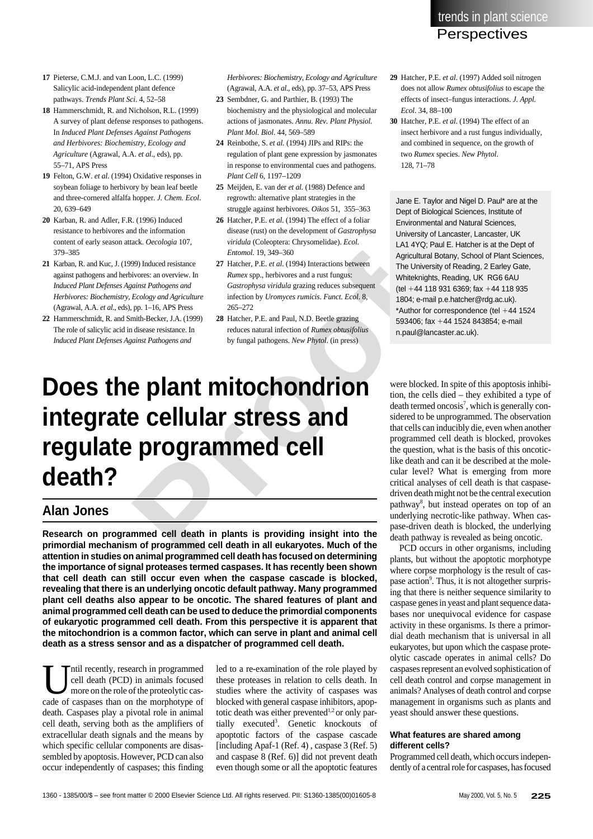trends in plant science **Perspectives** 

- **17** Pieterse, C.M.J. and van Loon, L.C. (1999) Salicylic acid-independent plant defence pathways. *Trends Plant Sci*. 4, 52–58
- **18** Hammerschmidt, R. and Nicholson, R.L. (1999) A survey of plant defense responses to pathogens. In *Induced Plant Defenses Against Pathogens and Herbivores: Biochemistry, Ecology and Agriculture* (Agrawal, A.A. *et al*., eds), pp. 55–71, APS Press
- **19** Felton, G.W. *et al*. (1994) Oxidative responses in soybean foliage to herbivory by bean leaf beetle and three-cornered alfalfa hopper. *J. Chem. Ecol* . 20, 639–649
- **20** Karban, R. and Adler, F.R. (1996) Induced resistance to herbivores and the information content of early season attack. *Oecologia* 107, 379–385
- **21** Karban, R. and Kuc, J. (1999) Induced resistance against pathogens and herbivores: an overview. In *Induced Plant Defenses Against Pathogens and Herbivores: Biochemistry, Ecology and Agriculture* (Agrawal, A.A. *et al*., eds), pp. 1–16, APS Press
- **22** Hammerschmidt, R. and Smith-Becker, J.A. (1999) The role of salicylic acid in disease resistance. In *Induced Plant Defenses Against Pathogens and*

*Herbivores: Biochemistry, Ecology and Agriculture* (Agrawal, A.A. *et al*., eds), pp. 37–53, APS Press

- **23** Sembdner, G. and Parthier, B. (1993) The biochemistry and the physiological and molecular actions of jasmonates. *Annu. Rev. Plant Physiol. Plant Mol. Biol*. 44, 569–589
- **24** Reinbothe, S. *et al.* (1994) JIPs and RIPs: the regulation of plant gene expression by jasmonates in response to environmental cues and pathogens. *Plant Cell* 6, 1197–1209
- **25** Meijden, E. van der *et al.* (1988) Defence and regrowth: alternative plant strategies in the struggle against herbivores. *Oikos* 51, 355–363
- **26** Hatcher, P.E. *et al*. (1994) The effect of a foliar disease (rust) on the development of *Gastrophysa viridula* (Coleoptera: Chrysomelidae). *Ecol. Entomol*. 19, 349–360
- **27** Hatcher, P.E. *et al*. (1994) Interactions between *Rumex* spp., herbivores and a rust fungus: *Gastrophysa viridula* grazing reduces subsequent infection by *Uromyces rumicis*. *Funct. Ecol*. 8, 265–272
- **28** Hatcher, P.E. and Paul, N.D. Beetle grazing reduces natural infection of *Rumex obtusifolius* by fungal pathogens. *New Phytol*. (in press)

# 2. (1996) Induced<br>
and the information<br>
interactions (PE and Coleoperac Chrysomelolab). *Ecol.*<br>
Interactions and Neutropic and Neutron distance (Coleoperac Chrysomelolab). *Ecol.*<br> *Proceed 19, 34476, Paul E. Hatcher Bigg* **Does the plant mitochondrion integrate cellular stress and regulate programmed cell death?**

## **Alan Jones**

**Research on programmed cell death in plants is providing insight into the primordial mechanism of programmed cell death in all eukaryotes. Much of the attention in studies on animal programmed cell death has focused on determining the importance of signal proteases termed caspases. It has recently been shown that cell death can still occur even when the caspase cascade is blocked, revealing that there is an underlying oncotic default pathway. Many programmed plant cell deaths also appear to be oncotic. The shared features of plant and animal programmed cell death can be used to deduce the primordial components of eukaryotic programmed cell death. From this perspective it is apparent that the mitochondrion is a common factor, which can serve in plant and animal cell death as a stress sensor and as a dispatcher of programmed cell death.**

ntil recently, research in programmed cell death (PCD) in animals focused more on the role of the proteolytic cascade of caspases than on the morphotype of death. Caspases play a pivotal role in animal cell death, serving both as the amplifiers of extracellular death signals and the means by which specific cellular components are disassembled by apoptosis. However, PCD can also occur independently of caspases; this finding

led to a re-examination of the role played by these proteases in relation to cells death. In studies where the activity of caspases was blocked with general caspase inhibitors, apoptotic death was either prevented $1,2$  or only partially executed<sup>3</sup>. Genetic knockouts of apoptotic factors of the caspase cascade [including Apaf-1 (Ref. 4) , caspase 3 (Ref. 5) and caspase 8 (Ref. 6)] did not prevent death even though some or all the apoptotic features

- **29** Hatcher, P.E. *et al*. (1997) Added soil nitrogen does not allow *Rumex obtusifolius* to escape the effects of insect–fungus interactions. *J. Appl. Ecol*. 34, 88–100
- **30** Hatcher, P.E. *et al*. (1994) The effect of an insect herbivore and a rust fungus individually, and combined in sequence, on the growth of two *Rumex* species. *New Phytol*. 128, 71–78

Jane E. Taylor and Nigel D. Paul\* are at the Dept of Biological Sciences, Institute of Environmental and Natural Sciences, University of Lancaster, Lancaster, UK LA1 4YQ; Paul E. Hatcher is at the Dept of Agricultural Botany, School of Plant Sciences, The University of Reading, 2 Earley Gate, Whiteknights, Reading, UK RG6 6AU (tel +44 118 931 6369; fax +44 118 935 1804; e-mail p.e.hatcher@rdg.ac.uk). \*Author for correspondence (tel +44 1524 593406; fax +44 1524 843854; e-mail n.paul@lancaster.ac.uk).

were blocked. In spite of this apoptosis inhibition, the cells died – they exhibited a type of death termed oncosis 7 , which is generally considered to be unprogrammed. The observation that cells can inducibly die, even when another programmed cell death is blocked, provokes the question, what is the basis of this oncoticlike death and can it be described at the molecular level? What is emerging from more critical analyses of cell death is that caspasedriven death might not be the central execution pathway 8 , but instead operates on top of an underlying necrotic-like pathway. When caspase-driven death is blocked, the underlying death pathway is revealed as being oncotic.

PCD occurs in other organisms, including plants, but without the apoptotic morphotype where corpse morphology is the result of caspase action<sup>9</sup>. Thus, it is not altogether surprising that there is neither sequence similarity to caspase genes in yeast and plant sequence databases nor unequivocal evidence for caspase activity in these organisms. Is there a primordial death mechanism that is universal in all eukaryotes, but upon which the caspase proteolytic cascade operates in animal cells? Do caspases represent an evolved sophistication of cell death control and corpse management in animals? Analyses of death control and corpse management in organisms such as plants and yeast should answer these questions.

#### **What features are shared among different cells?**

Programmed cell death, which occurs independently of a central role for caspases, has focused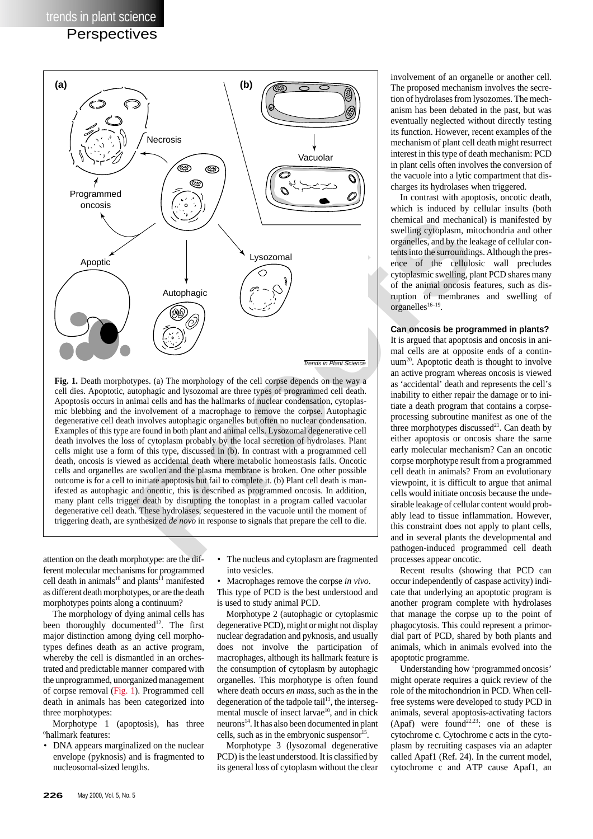### **Perspectives**



**Fig. 1.** Death morphotypes. (a) The morphology of the cell corpse depends on the way a cell dies. Apoptotic, autophagic and lysozomal are three types of programmed cell death. Apoptosis occurs in animal cells and has the hallmarks of nuclear condensation, cytoplasmic blebbing and the involvement of a macrophage to remove the corpse. Autophagic degenerative cell death involves autophagic organelles but often no nuclear condensation. Examples of this type are found in both plant and animal cells. Lysozomal degenerative cell death involves the loss of cytoplasm probably by the local secretion of hydrolases. Plant cells might use a form of this type, discussed in (b). In contrast with a programmed cell death, oncosis is viewed as accidental death where metabolic homeostasis fails. Oncotic cells and organelles are swollen and the plasma membrane is broken. One other possible outcome is for a cell to initiate apoptosis but fail to complete it. (b) Plant cell death is manifested as autophagic and oncotic, this is described as programmed oncosis. In addition, many plant cells trigger death by disrupting the tonoplast in a program called vacuolar degenerative cell death. These hydrolases, sequestered in the vacuole until the moment of triggering death, are synthesized *de novo* in response to signals that prepare the cell to die.

attention on the death morphotype: are the different molecular mechanisms for programmed cell death in animals<sup>10</sup> and plants<sup>11</sup> manifested as different death morphotypes, or are the death morphotypes points along a continuum?

The morphology of dying animal cells has been thoroughly documented<sup>12</sup>. The first major distinction among dying cell morphotypes defines death as an active program, whereby the cell is dismantled in an orchestrated and predictable manner compared with the unprogrammed, unorganized management of corpse removal (Fig. 1). Programmed cell death in animals has been categorized into three morphotypes:

Morphotype 1 (apoptosis), has three ºhallmark features:

• DNA appears marginalized on the nuclear envelope (pyknosis) and is fragmented to nucleosomal-sized lengths.

The nucleus and cytoplasm are fragmented into vesicles.

• Macrophages remove the corpse *in vivo* . This type of PCD is the best understood and is used to study animal PCD.

Morphotype 2 (autophagic or cytoplasmic degenerative PCD), might or might not display nuclear degradation and pyknosis, and usually does not involve the participation of macrophages, although its hallmark feature is the consumption of cytoplasm by autophagic organelles. This morphotype is often found where death occurs *en mass*, such as the in the degeneration of the tadpole tail<sup>13</sup>, the intersegmental muscle of insect larvae<sup>10</sup>, and in chick neurons14. It has also been documented in plant cells, such as in the embryonic suspensor<sup>15</sup>.

Morphotype 3 (lysozomal degenerative PCD) is the least understood. It is classified by its general loss of cytoplasm without the clear

involvement of an organelle or another cell. The proposed mechanism involves the secretion of hydrolases from lysozomes. The mechanism has been debated in the past, but was eventually neglected without directly testing its function. However, recent examples of the mechanism of plant cell death might resurrect interest in this type of death mechanism: PCD in plant cells often involves the conversion of the vacuole into a lytic compartment that discharges its hydrolases when triggered.

In contrast with apoptosis, oncotic death, which is induced by cellular insults (both chemical and mechanical) is manifested by swelling cytoplasm, mitochondria and other organelles, and by the leakage of cellular contents into the surroundings. Although the presence of the cellulosic wall precludes cytoplasmic swelling, plant PCD shares many of the animal oncosis features, such as disruption of membranes and swelling of  $organelles<sup>16-19</sup>$ .

**Can oncosis be programmed in plants?**

It is argued that apoptosis and oncosis in animal cells are at opposite ends of a contin $uum<sup>20</sup>$ . Apoptotic death is thought to involve an active program whereas oncosis is viewed as 'accidental' death and represents the cell's inability to either repair the damage or to initiate a death program that contains a corpseprocessing subroutine manifest as one of the three morphotypes discussed $^{21}$ . Can death by either apoptosis or oncosis share the same early molecular mechanism? Can an oncotic corpse morphotype result from a programmed cell death in animals? From an evolutionary viewpoint, it is difficult to argue that animal cells would initiate oncosis because the undesirable leakage of cellular content would probably lead to tissue inflammation. However, this constraint does not apply to plant cells, and in several plants the developmental and pathogen-induced programmed cell death processes appear oncotic.

Recent results (showing that PCD can occur independently of caspase activity) indicate that underlying an apoptotic program is another program complete with hydrolases that manage the corpse up to the point of phagocytosis. This could represent a primordial part of PCD, shared by both plants and animals, which in animals evolved into the apoptotic programme.

Understanding how 'programmed oncosis' might operate requires a quick review of the role of the mitochondrion in PCD. When cellfree systems were developed to study PCD in animals, several apoptosis-activating factors (Apaf) were found<sup>22,23</sup>: one of these is cytochrome c. Cytochrome c acts in the cytoplasm by recruiting caspases via an adapter called Apaf1 (Ref. 24). In the current model, cytochrome c and ATP cause Apaf1, an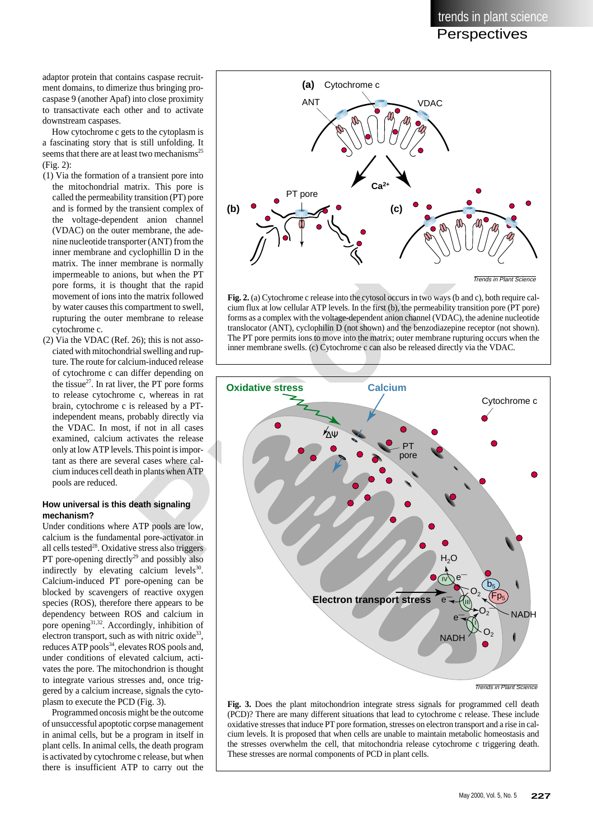adaptor protein that contains caspase recruitment domains, to dimerize thus bringing procaspase 9 (another Apaf) into close proximity to transactivate each other and to activate downstream caspases.

How cytochrome c gets to the cytoplasm is a fascinating story that is still unfolding. It seems that there are at least two mechanisms<sup>25</sup> (Fig. 2):

- (1) Via the formation of a transient pore into the mitochondrial matrix. This pore is called the permeability transition (PT) pore and is formed by the transient complex of the voltage-dependent anion channel (VDAC) on the outer membrane, the adenine nucleotide transporter (ANT) from the inner membrane and cyclophillin D in the matrix. The inner membrane is normally impermeable to anions, but when the PT pore forms, it is thought that the rapid movement of ions into the matrix followed by water causes this compartment to swell, rupturing the outer membrane to release cytochrome c.
- (2) Via the VDAC (Ref. 26); this is not associated with mitochondrial swelling and rupture. The route for calcium-induced release of cytochrome c can differ depending on the tissue $^{27}$ . In rat liver, the PT pore forms to release cytochrome c, whereas in rat brain, cytochrome c is released by a PTindependent means, probably directly via the VDAC. In most, if not in all cases examined, calcium activates the release only at low ATP levels. This point is important as there are several cases where calcium induces cell death in plants when ATP pools are reduced.

#### **How universal is this death signaling mechanism?**

Under conditions where ATP pools are low, calcium is the fundamental pore-activator in all cells tested<sup>28</sup>. Oxidative stress also triggers PT pore-opening directly $^{29}$  and possibly also indirectly by elevating calcium levels $30$ . Calcium-induced PT pore-opening can be blocked by scavengers of reactive oxygen species (ROS), therefore there appears to be dependency between ROS and calcium in pore opening $31,32$ . Accordingly, inhibition of electron transport, such as with nitric oxide $33$ , reduces ATP pools<sup>34</sup>, elevates ROS pools and, under conditions of elevated calcium, activates the pore. The mitochondrion is thought to integrate various stresses and, once triggered by a calcium increase, signals the cytoplasm to execute the PCD (Fig. 3).

Programmed oncosis might be the outcome of unsuccessful apoptotic corpse management in animal cells, but be a program in itself in plant cells. In animal cells, the death program is activated by cytochrome c release, but when there is insufficient ATP to carry out the



**Fig. 2.** (a) Cytochrome c release into the cytosol occurs in two ways (b and c), both require calcium flux at low cellular ATP levels. In the first (b), the permeability transition pore (PT pore) forms as a complex with the voltage-dependent anion channel (VDAC), the adenine nucleotide translocator (ANT), cyclophilin D (not shown) and the benzodiazepine receptor (not shown). The PT pore permits ions to move into the matrix; outer membrane rupturing occurs when the inner membrane swells. (c) Cytochrome c can also be released directly via the VDAC.



**Fig. 3.** Does the plant mitochondrion integrate stress signals for programmed cell death (PCD)? There are many different situations that lead to cytochrome c release. These include oxidative stresses that induce PT pore formation, stresses on electron transport and a rise in calcium levels. It is proposed that when cells are unable to maintain metabolic homeostasis and the stresses overwhelm the cell, that mitochondria release cytochrome c triggering death. These stresses are normal components of PCD in plant cells.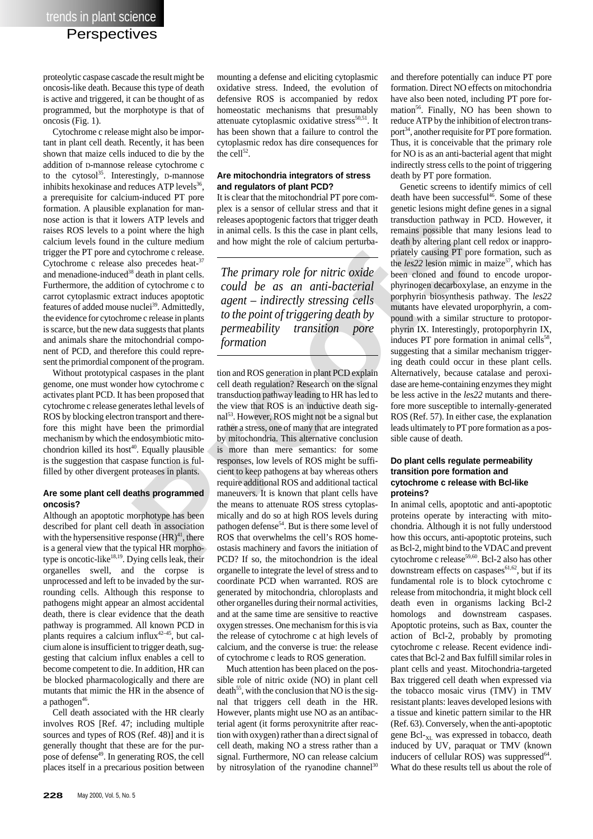proteolytic caspase cascade the result might be oncosis-like death. Because this type of death is active and triggered, it can be thought of as programmed, but the morphotype is that of oncosis (Fig. 1).

Cytochrome c release might also be important in plant cell death. Recently, it has been shown that maize cells induced to die by the addition of D-mannose release cytochrome c to the cytosol<sup>35</sup>. Interestingly, D-mannose inhibits hexokinase and reduces  $ATP$  levels<sup>36</sup>, a prerequisite for calcium-induced PT pore formation. A plausible explanation for mannose action is that it lowers ATP levels and raises ROS levels to a point where the high calcium levels found in the culture medium trigger the PT pore and cytochrome c release. Cytochrome c release also precedes heat- $3<sup>7</sup>$ and menadione-induced<sup>38</sup> death in plant cells. Furthermore, the addition of cytochrome c to carrot cytoplasmic extract induces apoptotic features of added mouse nuclei<sup>39</sup>. Admittedly, the evidence for cytochrome c release in plants is scarce, but the new data suggests that plants and animals share the mitochondrial component of PCD, and therefore this could represent the primordial component of the program.

Without prototypical caspases in the plant genome, one must wonder how cytochrome c activates plant PCD. It has been proposed that cytochrome c release generates lethal levels of ROS by blocking electron transport and therefore this might have been the primordial mechanism by which the endosymbiotic mitochondrion killed its host<sup>40</sup>. Equally plausible is the suggestion that caspase function is fulfilled by other divergent proteases in plants.

#### **Are some plant cell deaths programmed oncosis?**

Although an apoptotic morphotype has been described for plant cell death in association with the hypersensitive response  $(HR)^{41}$ , there is a general view that the typical HR morphotype is oncotic-like<sup>18,19</sup>. Dying cells leak, their organelles swell, and the corpse is unprocessed and left to be invaded by the surrounding cells. Although this response to pathogens might appear an almost accidental death, there is clear evidence that the death pathway is programmed. All known PCD in plants requires a calcium influx<sup>42-45</sup>, but calcium alone is insufficient to trigger death, suggesting that calcium influx enables a cell to become competent to die. In addition, HR can be blocked pharmacologically and there are mutants that mimic the HR in the absence of a pathogen<sup>46</sup>.

Cell death associated with the HR clearly involves ROS [Ref. 47; including multiple sources and types of ROS (Ref. 48)] and it is generally thought that these are for the purpose of defense<sup>49</sup>. In generating ROS, the cell places itself in a precarious position between

mounting a defense and eliciting cytoplasmic oxidative stress. Indeed, the evolution of defensive ROS is accompanied by redox homeostatic mechanisms that presumably attenuate cytoplasmic oxidative stress $50,51$ . It has been shown that a failure to control the cytoplasmic redox has dire consequences for the cell $^{52}$ .

#### **Are mitochondria integrators of stress and regulators of plant PCD?**

It is clear that the mitochondrial PT pore complex is a sensor of cellular stress and that it releases apoptogenic factors that trigger death in animal cells. Is this the case in plant cells, and how might the role of calcium perturba-

*The primary role for nitric oxide could be as an anti-bacterial agent – indirectly stressing cells to the point of triggering death by permeability transition pore formation*

wers ATP levels and releases apoptogenic factors that trigger death<br>that transduction pathway in<br>the culture medium and and low might the role of calcium perturba-<br>death by altering plant correlation<br>and how might the role tion and ROS generation in plant PCD explain cell death regulation? Research on the signal transduction pathway leading to HR has led to the view that ROS is an inductive death signal<sup>53</sup>. However, ROS might not be a signal but rather a stress, one of many that are integrated by mitochondria. This alternative conclusion is more than mere semantics: for some responses, low levels of ROS might be sufficient to keep pathogens at bay whereas others require additional ROS and additional tactical maneuvers. It is known that plant cells have the means to attenuate ROS stress cytoplasmically and do so at high ROS levels during pathogen defense<sup>54</sup>. But is there some level of ROS that overwhelms the cell's ROS homeostasis machinery and favors the initiation of PCD? If so, the mitochondrion is the ideal organelle to integrate the level of stress and to coordinate PCD when warranted. ROS are generated by mitochondria, chloroplasts and other organelles during their normal activities, and at the same time are sensitive to reactive oxygen stresses. One mechanism for this is via the release of cytochrome c at high levels of calcium, and the converse is true: the release of cytochrome c leads to ROS generation.

> Much attention has been placed on the possible role of nitric oxide (NO) in plant cell death<sup>55</sup>, with the conclusion that NO is the signal that triggers cell death in the HR. However, plants might use NO as an antibacterial agent (it forms peroxynitrite after reaction with oxygen) rather than a direct signal of cell death, making NO a stress rather than a signal. Furthermore, NO can release calcium by nitrosylation of the ryanodine channel<sup>30</sup>

and therefore potentially can induce PT pore formation. Direct NO effects on mitochondria have also been noted, including PT pore formation<sup>56</sup>. Finally, NO has been shown to reduce ATP by the inhibition of electron transport<sup>34</sup>, another requisite for PT pore formation. Thus, it is conceivable that the primary role for NO is as an anti-bacterial agent that might indirectly stress cells to the point of triggering death by PT pore formation.

Genetic screens to identify mimics of cell death have been successful<sup>46</sup>. Some of these genetic lesions might define genes in a signal transduction pathway in PCD. However, it remains possible that many lesions lead to death by altering plant cell redox or inappropriately causing PT pore formation, such as the *les*22 lesion mimic in maize<sup>57</sup>, which has been cloned and found to encode uroporphyrinogen decarboxylase, an enzyme in the porphyrin biosynthesis pathway. The *les22* mutants have elevated uroporphyrin, a compound with a similar structure to protoporphyrin IX. Interestingly, protoporphyrin IX, induces PT pore formation in animal cells<sup>58</sup>, suggesting that a similar mechanism triggering death could occur in these plant cells. Alternatively, because catalase and peroxidase are heme-containing enzymes they might be less active in the *les22* mutants and therefore more susceptible to internally-generated ROS (Ref. 57). In either case, the explanation leads ultimately to PT pore formation as a possible cause of death.

#### **Do plant cells regulate permeability transition pore formation and cytochrome c release with Bcl-like proteins?**

In animal cells, apoptotic and anti-apoptotic proteins operate by interacting with mitochondria. Although it is not fully understood how this occurs, anti-apoptotic proteins, such as Bcl-2, might bind to the VDAC and prevent cytochrome c release<sup>59,60</sup>. Bcl-2 also has other downstream effects on caspases $61,62$ , but if its fundamental role is to block cytochrome c release from mitochondria, it might block cell death even in organisms lacking Bcl-2 homologs and downstream caspases. Apoptotic proteins, such as Bax, counter the action of Bcl-2, probably by promoting cytochrome c release. Recent evidence indicates that Bcl-2 and Bax fulfill similar roles in plant cells and yeast. Mitochondria-targeted Bax triggered cell death when expressed via the tobacco mosaic virus (TMV) in TMV resistant plants: leaves developed lesions with a tissue and kinetic pattern similar to the HR (Ref. 63). Conversely, when the anti-apoptotic gene Bcl-<sub>XL</sub> was expressed in tobacco, death induced by UV, paraquat or TMV (known inducers of cellular ROS) was suppressed<sup>64</sup>. What do these results tell us about the role of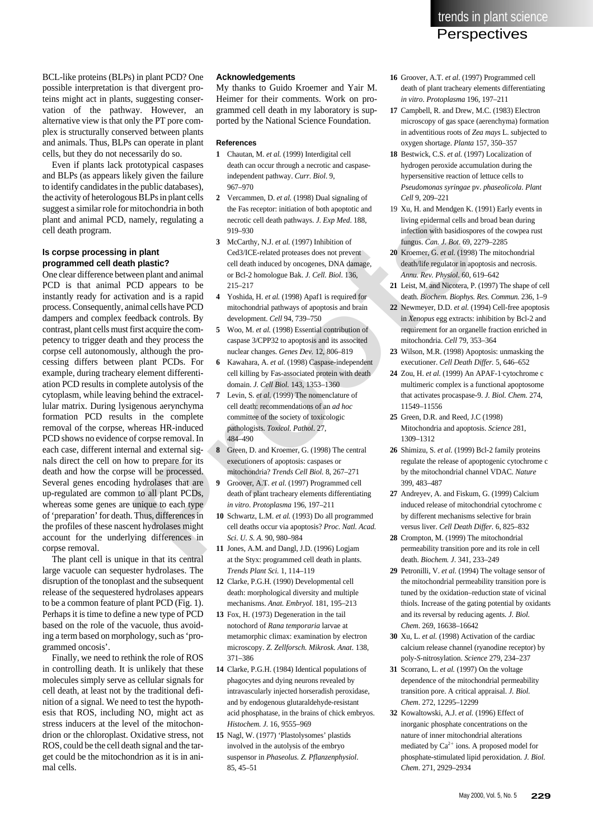BCL-like proteins (BLPs) in plant PCD? One possible interpretation is that divergent proteins might act in plants, suggesting conservation of the pathway. However, an alternative view is that only the PT pore complex is structurally conserved between plants and animals. Thus, BLPs can operate in plant cells, but they do not necessarily do so.

Even if plants lack prototypical caspases and BLPs (as appears likely given the failure to identify candidates in the public databases), the activity of heterologous BLPs in plant cells suggest a similar role for mitochondria in both plant and animal PCD, namely, regulating a cell death program.

#### **Is corpse processing in plant programmed cell death plastic?**

annely, regulating a<br> **Proofs** and the metroic cell death pathways *J. Exp Med.* 188,<br> **Proofs** and the metric of the passicosy of the metric of the metric of the metric of the scenario cell of the cell of the cell of the One clear difference between plant and animal PCD is that animal PCD appears to be instantly ready for activation and is a rapid process. Consequently, animal cells have PCD dampers and complex feedback controls. By contrast, plant cells must first acquire the competency to trigger death and they process the corpse cell autonomously, although the processing differs between plant PCDs. For example, during tracheary element differentiation PCD results in complete autolysis of the cytoplasm, while leaving behind the extracellular matrix. During lysigenous aerynchyma formation PCD results in the complete removal of the corpse, whereas HR-induced PCD shows no evidence of corpse removal. In each case, different internal and external signals direct the cell on how to prepare for its death and how the corpse will be processed. Several genes encoding hydrolases that are up-regulated are common to all plant PCDs, whereas some genes are unique to each type of 'preparation' for death. Thus, differences in the profiles of these nascent hydrolases might account for the underlying differences in corpse removal.

The plant cell is unique in that its central large vacuole can sequester hydrolases. The disruption of the tonoplast and the subsequent release of the sequestered hydrolases appears to be a common feature of plant PCD (Fig. 1). Perhaps it is time to define a new type of PCD based on the role of the vacuole, thus avoiding a term based on morphology, such as 'programmed oncosis'.

Finally, we need to rethink the role of ROS in controlling death. It is unlikely that these molecules simply serve as cellular signals for cell death, at least not by the traditional definition of a signal. We need to test the hypothesis that ROS, including NO, might act as stress inducers at the level of the mitochondrion or the chloroplast. Oxidative stress, not ROS, could be the cell death signal and the target could be the mitochondrion as it is in animal cells.

#### **Acknowledgements**

My thanks to Guido Kroemer and Yair M. Heimer for their comments. Work on programmed cell death in my laboratory is supported by the National Science Foundation.

#### **References**

- **1** Chautan, M. *et al.* (1999) Interdigital cell death can occur through a necrotic and caspaseindependent pathway. *Curr. Biol*. 9, 967–970
- **2** Vercammen, D. *et al.* (1998) Dual signaling of the Fas receptor: initiation of both apoptotic and necrotic cell death pathways. *J. Exp Med*. 188, 919–930
- **3** McCarthy, N.J. *et al.* (1997) Inhibition of Ced3/ICE-related proteases does not prevent cell death induced by oncogenes, DNA damage, or Bcl-2 homologue Bak. *J. Cell. Biol*. 136, 215–217
- **4** Yoshida, H. *et al.* (1998) Apaf1 is required for mitochondrial pathways of apoptosis and brain development. *Cell* 94, 739–750
- **5** Woo, M. *et al.* (1998) Essential contribution of caspase 3/CPP32 to apoptosis and its associted nuclear changes. *Genes Dev.* 12, 806–819
- **6** Kawahara, A. *et al.* (1998) Caspase-independent cell killing by Fas-associated protein with death domain. *J. Cell Biol.* 143, 1353–1360
- **7** Levin, S. *et al.* (1999) The nomenclature of cell death: recommendations of an *ad hoc* committee of the society of toxicologic pathologists. *Toxicol. Pathol*. 27, 484–490
- **8** Green, D. and Kroemer, G. (1998) The central executioners of apoptosis: caspases or mitochondria? *Trends Cell Biol.* 8, 267–271
- **9** Groover, A.T. *et al*. (1997) Programmed cell death of plant tracheary elements differentiating *in vitro*. *Protoplasma* 196, 197–211
- **10** Schwartz, L.M. *et al.* (1993) Do all programmed cell deaths occur via apoptosis? *Proc. Natl. Acad. Sci*. *U. S. A.* 90, 980–984
- **11** Jones, A.M. and Dangl, J.D. (1996) Logjam at the Styx: programmed cell death in plants. *Trends Plant Sci.* 1, 114–119
- **12** Clarke, P.G.H. (1990) Developmental cell death: morphological diversity and multiple mechanisms. *Anat. Embryol.* 181, 195–213
- **13** Fox, H. (1973) Degeneration in the tail notochord of *Rana temporaria* larvae at metamorphic climax: examination by electron microscopy. *Z. Zellforsch. Mikrosk. Anat*. 138, 371–386
- **14** Clarke, P.G.H. (1984) Identical populations of phagocytes and dying neurons revealed by intravascularly injected horseradish peroxidase, and by endogenous glutaraldehyde-resistant acid phosphatase, in the brains of chick embryos. *Histochem. J*. 16, 9555–969
- **15** Nagl, W. (1977) 'Plastolysomes' plastids involved in the autolysis of the embryo suspensor in *Phaseolus. Z. Pflanzenphysiol*. 85, 45–51
- **16** Groover, A.T. *et al*. (1997) Programmed cell death of plant tracheary elements differentiating *in vitro*. *Protoplasma* 196, 197–211
- **17** Campbell, R. and Drew, M.C. (1983) Electron microscopy of gas space (aerenchyma) formation in adventitious roots of *Zea mays* L. subjected to oxygen shortage. *Planta* 157, 350–357
- **18** Bestwick, C.S. *et al.* (1997) Localization of hydrogen peroxide accumulation during the hypersensitive reaction of lettuce cells to *Pseudomonas syringae* pv. *phaseolicola*. *Plant Cell* 9, 209–221
- 19 Xu, H. and Mendgen K. (1991) Early events in living epidermal cells and broad bean during infection with basidiospores of the cowpea rust fungus. *Can. J. Bot*. 69, 2279–2285
- **20** Kroemer, G. *et al.* (1998) The mitochondrial death/life regulator in apoptosis and necrosis. *Annu. Rev. Physiol*. 60, 619–642
- **21** Leist, M. and Nicotera, P. (1997) The shape of cell death. *Biochem. Biophys. Res. Commun.* 236, 1–9
- **22** Newmeyer, D.D. *et al.* (1994) Cell-free apoptosis in *Xenopus* egg extracts: inhibition by Bcl-2 and requirement for an organelle fraction enriched in mitochondria. *Cell* 79, 353–364
- **23** Wilson, M.R. (1998) Apoptosis: unmasking the executioner. *Cell Death Differ.* 5, 646–652
- **24** Zou, H. *et al.* (1999) An APAF-1·cytochrome c multimeric complex is a functional apoptosome that activates procaspase-9. *J. Biol. Chem.* 274, 11549–11556
- **25** Green, D.R. and Reed, J.C (1998) Mitochondria and apoptosis. *Science* 281, 1309–1312
- **26** Shimizu, S. *et al.* (1999) Bcl-2 family proteins regulate the release of apoptogenic cytochrome c by the mitochondrial channel VDAC. *Nature* 399, 483–487
- **27** Andreyev, A. and Fiskum, G. (1999) Calcium induced release of mitochondrial cytochrome c by different mechanisms selective for brain versus liver. *Cell Death Differ.* 6, 825–832
- **28** Crompton, M. (1999) The mitochondrial permeability transition pore and its role in cell death. *Biochem. J*. 341, 233–249
- **29** Petronilli, V. *et al.* (1994) The voltage sensor of the mitochondrial permeability transition pore is tuned by the oxidation–reduction state of vicinal thiols. Increase of the gating potential by oxidants and its reversal by reducing agents. *J. Biol. Chem*. 269, 16638–16642
- **30** Xu, L. *et al.* (1998) Activation of the cardiac calcium release channel (ryanodine receptor) by poly-*S*-nitrosylation. *Science* 279, 234–237
- **31** Scorrano, L. *et al.* (1997) On the voltage dependence of the mitochondrial permeability transition pore. A critical appraisal. *J. Biol. Chem*. 272, 12295–12299
- **32** Kowaltowski, A.J. *et al.* (1996) Effect of inorganic phosphate concentrations on the nature of inner mitochondrial alterations mediated by  $Ca^{2+}$  ions. A proposed model for phosphate-stimulated lipid peroxidation. *J. Biol. Chem*. 271, 2929–2934